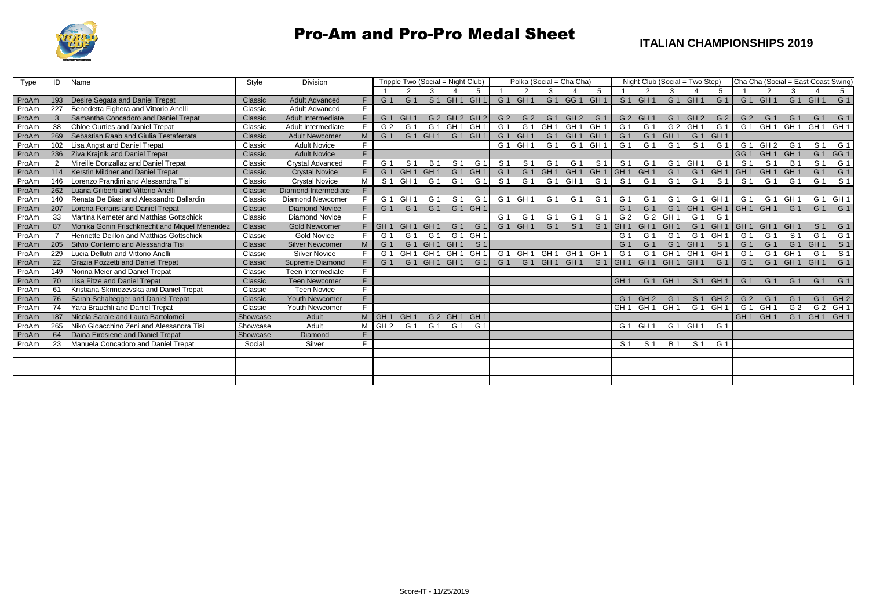

## Pro-Am and Pro-Pro Medal Sheet

| Type  | ID  | Name                                          | Style    | <b>Division</b>         |    | Tripple Two (Social = Night Club) |                 |                 |                 | Polka (Social = Cha Cha) |                |                 |                                 |                 |                 |                   | Night Club (Social = Two Step) |                 | Cha Cha (Social = East Coast Swing) |                 |                                 |                 |                 |                |                 |
|-------|-----|-----------------------------------------------|----------|-------------------------|----|-----------------------------------|-----------------|-----------------|-----------------|--------------------------|----------------|-----------------|---------------------------------|-----------------|-----------------|-------------------|--------------------------------|-----------------|-------------------------------------|-----------------|---------------------------------|-----------------|-----------------|----------------|-----------------|
|       |     |                                               |          |                         |    |                                   |                 |                 |                 | 5                        |                |                 |                                 |                 | 5               |                   |                                |                 |                                     |                 |                                 |                 |                 |                | 5               |
| ProAm | 193 | Desire Segata and Daniel Trepat               | Classic  | <b>Adult Advanced</b>   | F. | G 1                               | G <sub>1</sub>  |                 | $S_1$ GH 1      | GH '                     | G 1            | GH <sub>1</sub> |                                 | G 1 GG 1        | GH <sub>1</sub> | S <sub>1</sub>    | GH <sub>1</sub>                |                 | G 1 GH 1                            | G <sub>1</sub>  |                                 | G 1 GH 1        |                 | G 1 GH         | G1              |
| ProAm | 227 | Benedetta Fighera and Vittorio Anelli         | Classic  | <b>Adult Advanced</b>   | F. |                                   |                 |                 |                 |                          |                |                 |                                 |                 |                 |                   |                                |                 |                                     |                 |                                 |                 |                 |                |                 |
| ProAm |     | Samantha Concadoro and Daniel Trepat          | Classic  | Adult Intermediate      | F. | G <sub>1</sub>                    | GH              |                 | G 2 GH 2        | GH <sub>2</sub>          | G <sub>2</sub> | G <sub>2</sub>  | G <sub>1</sub>                  | GH <sub>2</sub> | G <sub>1</sub>  | G 2 GH            |                                | G <sub>1</sub>  | GH <sub>2</sub>                     | G <sub>2</sub>  | G <sub>2</sub>                  | G <sub>1</sub>  | G <sub>1</sub>  | $G$ .          | G 1             |
| ProAm | 38  | Chloe Ourties and Daniel Trepat               | Classic  | Adult Intermediate      | F. | G 2                               | G <sub>1</sub>  | G 1             | GH <sub>1</sub> | GH                       | G.             | G <sub>1</sub>  | GH <sub>1</sub>                 | GH <sub>1</sub> | GH <sub>1</sub> | G 1               | G 1                            |                 | G 2 GH 1                            | G <sub>1</sub>  | G 1                             | GH <sub>1</sub> | GH <sub>1</sub> | GH ·           | GH <sub>1</sub> |
| ProAm | 269 | Sebastian Raab and Giulia Testaferrata        | Classic  | <b>Adult Newcomer</b>   | M  | G 1                               | G 1             | GH <sub>1</sub> | G <sub>1</sub>  | GH <sup>-</sup>          | G '            | GH <sub>1</sub> | G 1                             | GH <sub>1</sub> | GH <sub>1</sub> | G <sub>1</sub>    | G <sub>1</sub>                 | GH <sub>1</sub> | G 1                                 | GH <sub>1</sub> |                                 |                 |                 |                |                 |
| ProAm |     | Lisa Angst and Daniel Trepat                  | Classic  | <b>Adult Novice</b>     |    |                                   |                 |                 |                 |                          | G 1            | GH <sub>1</sub> | G 1                             | G 1             | GH <sub>1</sub> | G 1               | G 1                            | G 1             | S <sub>1</sub>                      | G <sub>1</sub>  | G 1                             | GH <sub>2</sub> | G 1             | $S^{\prime}$   | G 1             |
| ProAm | 236 | <b>Ziva Krajnik and Daniel Trepat</b>         | Classic  | <b>Adult Novice</b>     | F  |                                   |                 |                 |                 |                          |                |                 |                                 |                 |                 |                   |                                |                 |                                     |                 | GG <sub>1</sub>                 | GH <sub>1</sub> | <b>GH</b>       | $G$ .          | GG <sub>1</sub> |
| ProAm | 2   | Mireille Donzallaz and Daniel Trepat          | Classic  | <b>Crystal Advanced</b> | F  | G 1                               | S <sub>1</sub>  | <b>B</b> 1      | S <sub>1</sub>  | G.                       | s ·            | S <sub>1</sub>  | G 1                             | G <sub>1</sub>  | S <sub>1</sub>  | S 1               | G 1                            |                 | G 1 GH 1                            | G <sub>1</sub>  | S <sub>1</sub>                  | S <sub>1</sub>  | <b>B</b> 1      | S <sub>1</sub> | G 1             |
| ProAm | 114 | Kerstin Mildner and Daniel Trepat             | Classic  | <b>Crystal Novice</b>   |    | G <sub>1</sub>                    | GH <sub>1</sub> | GH              | G <sub>1</sub>  | GH                       | $G$ .          | G <sub>1</sub>  | GH <sub>1</sub>                 | GH <sub>1</sub> | GH <sub>1</sub> | GH <sub>1</sub>   | <b>GH</b>                      | G <sub>1</sub>  | G <sub>1</sub>                      | GH <sub>1</sub> | GH <sub>1</sub>                 | GH <sub>1</sub> | GH              | $G$ .          | G 1             |
| ProAm | 146 | Lorenzo Prandini and Alessandra Tisi          | Classic  | <b>Crystal Novice</b>   | м  | S <sub>1</sub>                    | GH <sub>1</sub> | G 1             | G 1             | G '                      | S <sub>1</sub> | G 1             |                                 | G 1 GH 1        | G 1             | S 1               | G 1                            | G 1             | G <sub>1</sub>                      | S <sub>1</sub>  | S 1                             | G 1             | G 1             | $G$ .          | S 1             |
| ProAm | 262 | Luana Giliberti and Vittorio Anelli           | Classic  | Diamond Intermediate    |    |                                   |                 |                 |                 |                          |                |                 |                                 |                 |                 |                   |                                |                 |                                     |                 |                                 |                 |                 |                |                 |
| ProAm | 140 | Renata De Biasi and Alessandro Ballardin      | Classic  | Diamond Newcomer        |    | G 1                               | GH ·            | G 1             | S <sub>1</sub>  | G '                      |                | G 1 GH 1        | G 1                             | G 1             | G 1             | G 1               | G 1                            | G 1             | G <sub>1</sub>                      | GH <sub>1</sub> | G 1                             | G 1             | <b>GH</b>       | G <sub>1</sub> | GH <sub>1</sub> |
| ProAm | 207 | Lorena Ferraris and Daniel Trepat             | Classic  | <b>Diamond Novice</b>   |    | G <sub>1</sub>                    | G 1             | G 1             | G 1 GH 1        |                          |                |                 |                                 |                 |                 | G '               | G <sub>1</sub>                 | G <sub>1</sub>  | GH <sub>1</sub>                     | GH <sub>1</sub> | GH <sub>1</sub> GH <sub>1</sub> |                 | G 1             | G <sub>1</sub> | G 1             |
| ProAm | 33  | Martina Kemeter and Matthias Gottschick       | Classic  | <b>Diamond Novice</b>   | F. |                                   |                 |                 |                 |                          | G 1            | G 1             | G 1                             | G <sub>1</sub>  | G <sub>1</sub>  | G 2               |                                | G 2 GH 1        | G 1                                 | G 1             |                                 |                 |                 |                |                 |
| ProAm | 87  | Monika Gonin Frischknecht and Miquel Menendez | Classic  | <b>Gold Newcomer</b>    |    | GH <sub>1</sub>                   | GH <sub>1</sub> | GH              | G <sub>1</sub>  | G.                       | G 1            | GH <sub>1</sub> | G <sub>1</sub>                  | S <sub>1</sub>  | G <sub>1</sub>  | GH <sub>1</sub>   | GH <sub>1</sub>                | GH <sub>1</sub> | G 1                                 | GH <sub>1</sub> | IGH 1                           | GH <sub>1</sub> | <b>GH</b>       | $S^{\prime}$   | G 1             |
| ProAm |     | Henriette Deillon and Matthias Gottschick     | Classic  | <b>Gold Novice</b>      | F. | G 1                               | G <sub>1</sub>  | G 1             | G 1             | <b>GH</b>                |                |                 |                                 |                 |                 | G 1               | G 1                            | G '             | G 1                                 | GH <sub>1</sub> | G 1                             | G <sub>1</sub>  | S <sub>1</sub>  | G.             | G 1             |
| ProAm | 205 | Silvio Conterno and Alessandra Tisi           | Classic  | <b>Silver Newcomer</b>  | M  | G 1                               | G 1             | GH <sub>1</sub> | GH <sub>1</sub> | S <sub>1</sub>           |                |                 |                                 |                 |                 | G '               | G <sub>1</sub>                 | G 1             | GH 1                                | S <sub>1</sub>  | G 1                             | G <sub>1</sub>  | G <sub>1</sub>  | <b>GH</b>      | S <sub>1</sub>  |
| ProAm | 229 | Lucia Dellutri and Vittorio Anelli            | Classic  | <b>Silver Novice</b>    |    | G 1                               | GH <sub>1</sub> | GH <sub>1</sub> | GH <sub>1</sub> | GH                       | G 1            | GH <sub>1</sub> | GH <sub>1</sub>                 | GH <sub>1</sub> | GH              | G 1               | G 1                            | GH 1            | GH <sub>1</sub>                     | GH <sub>1</sub> | G 1                             | G <sub>1</sub>  | <b>GH</b>       | G              | S <sub>1</sub>  |
| ProAm | 22  | <b>Grazia Pozzetti and Daniel Trepat</b>      | Classic  | Supreme Diamond         | F. | G <sub>1</sub>                    |                 | G 1 GH 1 GH 1   |                 | G <sub>1</sub>           | G <sub>1</sub> | G 1             | GH <sub>1</sub> GH <sub>1</sub> |                 | G <sub>1</sub>  | GH <sub>1</sub>   | GH <sub>1</sub>                | GH <sub>1</sub> | GH <sub>1</sub>                     | G <sub>1</sub>  | G 1                             | G 1             | GH <sub>1</sub> | GH             | G1              |
| ProAm | 149 | Norina Meier and Daniel Trepat                | Classic  | Teen Intermediate       | F. |                                   |                 |                 |                 |                          |                |                 |                                 |                 |                 |                   |                                |                 |                                     |                 |                                 |                 |                 |                |                 |
| ProAm | 70  | Lisa Fitze and Daniel Trepat                  | Classic  | <b>Teen Newcomer</b>    | F. |                                   |                 |                 |                 |                          |                |                 |                                 |                 |                 | GH <sub>1</sub>   | G 1                            | GH <sub>1</sub> |                                     | S 1 GH 1        | G 1                             | G <sub>1</sub>  | G 1             | G <sub>1</sub> | G 1             |
| ProAm | 61  | Kristiana Skrindzevska and Daniel Trepat      | Classic  | <b>Teen Novice</b>      | F. |                                   |                 |                 |                 |                          |                |                 |                                 |                 |                 |                   |                                |                 |                                     |                 |                                 |                 |                 |                |                 |
| ProAm | 76  | Sarah Schaltegger and Daniel Trepat           | Classic  | Youth Newcomer          | F. |                                   |                 |                 |                 |                          |                |                 |                                 |                 |                 | G <sub>1</sub>    | GH <sub>2</sub>                | G 1             |                                     | S 1 GH 2        | G 2                             | G 1             | G <sub>1</sub>  | G <sub>1</sub> | GH <sub>2</sub> |
| ProAm | 74  | Yara Brauchli and Daniel Trepat               | Classic  | Youth Newcomer          | F. |                                   |                 |                 |                 |                          |                |                 |                                 |                 |                 | GH <sub>1</sub>   | GH <sub>1</sub>                | GH <sub>1</sub> |                                     | G 1 GH 1        | G 1                             | GH <sub>1</sub> | G 2             |                | G 2 GH 1        |
| ProAm | 187 | Nicola Sarale and Laura Bartolomei            | Showcase | Adult                   | M  | GH <sub>1</sub>                   | GH <sub>1</sub> |                 | G 2 GH 1        | GH <sub>1</sub>          |                |                 |                                 |                 |                 |                   |                                |                 |                                     |                 | GH <sub>1</sub> GH <sub>1</sub> |                 |                 |                | G1 GH1 GH1      |
| ProAm | 265 | Niko Gioacchino Zeni and Alessandra Tisi      | Showcase | Adult                   | м  | GH <sub>2</sub>                   | G 1             | G 1             | G 1             | G 1                      |                |                 |                                 |                 |                 | G <sub>1</sub> GH |                                |                 | G 1 GH 1                            | G 1             |                                 |                 |                 |                |                 |
| ProAm | 64  | Daina Eirosiene and Daniel Trepat             | Showcase | Diamond                 | F. |                                   |                 |                 |                 |                          |                |                 |                                 |                 |                 |                   |                                |                 |                                     |                 |                                 |                 |                 |                |                 |
| ProAm | 23  | Manuela Concadoro and Daniel Trepat           | Social   | Silver                  | F. |                                   |                 |                 |                 |                          |                |                 |                                 |                 |                 | S 1               | S <sub>1</sub>                 | <b>B</b> 1      | S <sub>1</sub>                      | G 1             |                                 |                 |                 |                |                 |
|       |     |                                               |          |                         |    |                                   |                 |                 |                 |                          |                |                 |                                 |                 |                 |                   |                                |                 |                                     |                 |                                 |                 |                 |                |                 |
|       |     |                                               |          |                         |    |                                   |                 |                 |                 |                          |                |                 |                                 |                 |                 |                   |                                |                 |                                     |                 |                                 |                 |                 |                |                 |
|       |     |                                               |          |                         |    |                                   |                 |                 |                 |                          |                |                 |                                 |                 |                 |                   |                                |                 |                                     |                 |                                 |                 |                 |                |                 |
|       |     |                                               |          |                         |    |                                   |                 |                 |                 |                          |                |                 |                                 |                 |                 |                   |                                |                 |                                     |                 |                                 |                 |                 |                |                 |